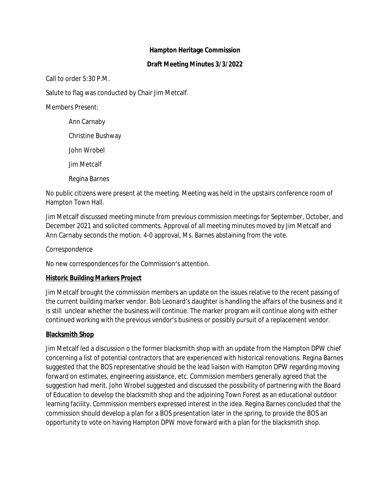## **Hampton Heritage Commission**

### **Draft Meeting Minutes 3/3/2022**

Call to order 5:30 P.M.

Salute to flag was conducted by Chair Jim Metcalf.

Members Present:

Ann Carnaby Christine Bushway John Wrobel Jim Metcalf Regina Barnes

No public citizens were present at the meeting. Meeting was held in the upstairs conference room of Hampton Town Hall.

Jim Metcalf discussed meeting minute from previous commission meetings for September, October, and December 2021 and solicited comments. Approval of all meeting minutes moved by Jim Metcalf and Ann Carnaby seconds the motion. 4-0 approval, Ms. Barnes abstaining from the vote.

Correspondence

No new correspondences for the Commission's attention.

# **Historic Building Markers Project**

Jim Metcalf brought the commission members an update on the issues relative to the recent passing of the current building marker vendor. Bob Leonard's daughter is handling the affairs of the business and it is still unclear whether the business will continue. The marker program will continue along with either continued working with the previous vendor's business or possibly pursuit of a replacement vendor.

# **Blacksmith Shop**

Jim Metcalf led a discussion o the former blacksmith shop with an update from the Hampton DPW chief concerning a list of potential contractors that are experienced with historical renovations. Regina Barnes suggested that the BOS representative should be the lead liaison with Hampton DPW regarding moving forward on estimates, engineering assistance, etc. Commission members generally agreed that the suggestion had merit. John Wrobel suggested and discussed the possibility of partnering with the Board of Education to develop the blacksmith shop and the adjoining Town Forest as an educational outdoor learning facility. Commission members expressed interest in the idea. Regina Barnes concluded that the commission should develop a plan for a BOS presentation later in the spring, to provide the BOS an opportunity to vote on having Hampton DPW move forward with a plan for the blacksmith shop.